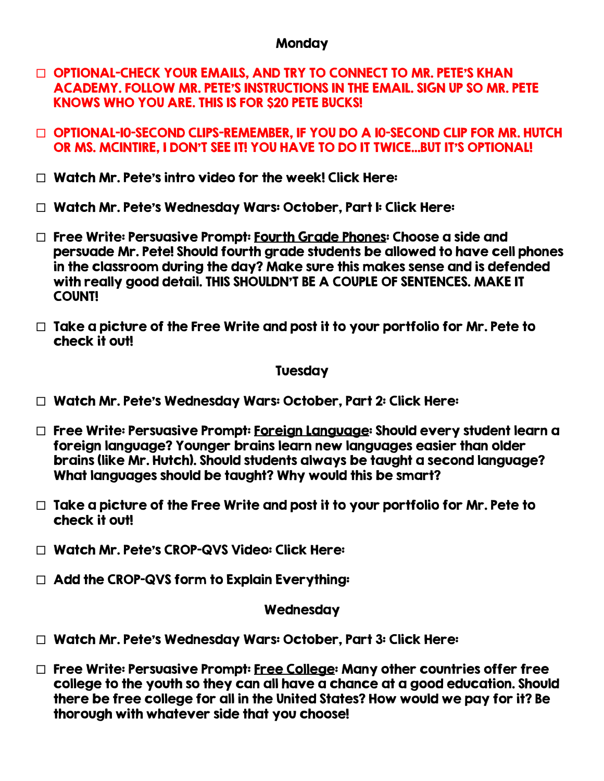## Monday

- $\Box$  OPTIONAL-CHECK YOUR EMAILS, AND TRY TO CONNECT TO MR. PETE'S KHAN ACADEMY. FOLLOW MR. PETE'S INSTRUCTIONS IN THE EMAIL. SIGN UP SO MR. PETE KNOWS WHO YOU ARE. THIS IS FOR \$20 PETE BUCKS!
- □ OPTIONAL-I0-SECOND CLIPS-REMEMBER, IF YOU DO A I0-SECOND CLIP FOR MR. HUTCH OR MS. MCINTIRE, I DON'T SEE IT! YOU HAVE TO DO IT TWICE…BUT IT'S OPTIONAL!
- $\Box$  Watch Mr. Pete's intro video for the week! Click Here:
- □ Watch Mr. Pete's Wednesday Wars: October. Part I: Click Here:
- $\Box$  Free Write: Persuasive Prompt: Fourth Grade Phones: Choose a side and persuade Mr. Pete! Should fourth grade students be allowed to have cell phones in the classroom during the day? Make sure this makes sense and is defended with really good detail. THIS SHOULDN'T BE A COUPLE OF SENTENCES. MAKE IT **COUNT!**
- $\Box$  Take a picture of the Free Write and post it to your portfolio for Mr. Pete to check it out!

## **Tuesday**

- □ Watch Mr. Pete's Wednesday Wars: October, Part 2: Click Here:
- $\Box$  Free Write: Persuasive Prompt: Foreign Language: Should every student learn a foreign language? Younger brains learn new languages easier than older brains (like Mr. Hutch). Should students always be taught a second language? What languages should be taught? Why would this be smart?
- $\Box$  Take a picture of the Free Write and post it to your portfolio for Mr. Pete to check it out!
- □ Watch Mr. Pete's CROP-QVS Video: Click Here:
- $\Box$  Add the CROP-QVS form to Explain Everything:

## Wednesday

- □ Watch Mr. Pete's Wednesday Wars: October, Part 3: Click Here:
- $\Box$  Free Write: Persuasive Prompt: <u>Free College</u>: Many other countries offer free college to the youth so they can all have a chance at a good education. Should there be free college for all in the United States? How would we pay for it? Be thorough with whatever side that you choose!